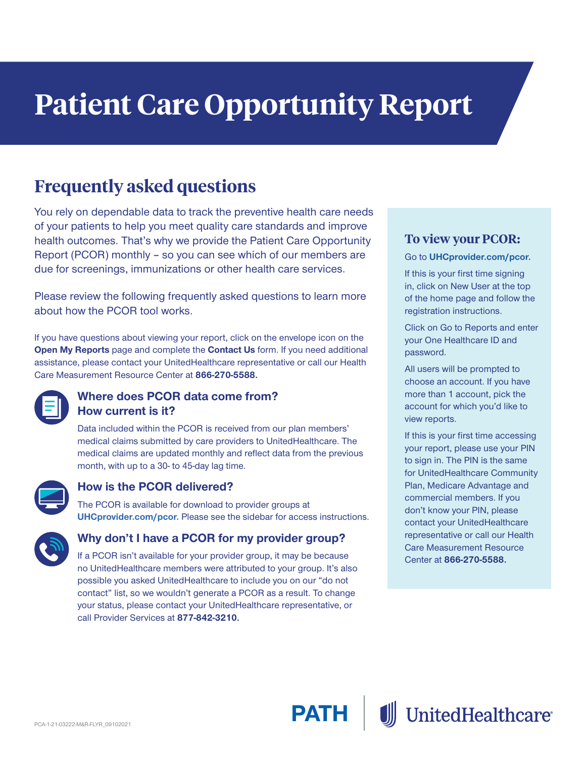# **Patient Care Opportunity Report**

## **Frequently asked questions**

You rely on dependable data to track the preventive health care needs of your patients to help you meet quality care standards and improve health outcomes. That's why we provide the Patient Care Opportunity Report (PCOR) monthly – so you can see which of our members are due for screenings, immunizations or other health care services.

Please review the following frequently asked questions to learn more about how the PCOR tool works.

If you have questions about viewing your report, click on the envelope icon on the **Open My Reports** page and complete the **Contact Us** form. If you need additional assistance, please contact your UnitedHealthcare representative or call our Health Care Measurement Resource Center at **866-270-5588.**



#### **Where does PCOR data come from? How current is it?**

Data included within the PCOR is received from our plan members' medical claims submitted by care providers to UnitedHealthcare. The medical claims are updated monthly and reflect data from the previous month, with up to a 30- to 45-day lag time.



#### **How is the PCOR delivered?**

The PCOR is available for download to provider groups at **[UHCprovider.com/pcor.](http://UHCprovider.com/pcor)** Please see the sidebar for access instructions.



#### **Why don't I have a PCOR for my provider group?**

If a PCOR isn't available for your provider group, it may be because no UnitedHealthcare members were attributed to your group. It's also possible you asked UnitedHealthcare to include you on our "do not contact" list, so we wouldn't generate a PCOR as a result. To change your status, please contact your UnitedHealthcare representative, or call Provider Services at **877-842-3210.**

#### **To view your PCOR:**

Go to **[UHCprovider.com/pcor.](http://Go to UHCprovider.com/pcor)**

If this is your first time signing in, click on New User at the top of the home page and follow the registration instructions.

Click on Go to Reports and enter your One Healthcare ID and password.

All users will be prompted to choose an account. If you have more than 1 account, pick the account for which you'd like to view reports.

If this is your first time accessing your report, please use your PIN to sign in. The PIN is the same for UnitedHealthcare Community Plan, Medicare Advantage and commercial members. If you don't know your PIN, please contact your UnitedHealthcare representative or call our Health Care Measurement Resource Center at **866‑270‑5588.**

**UnitedHealthcare**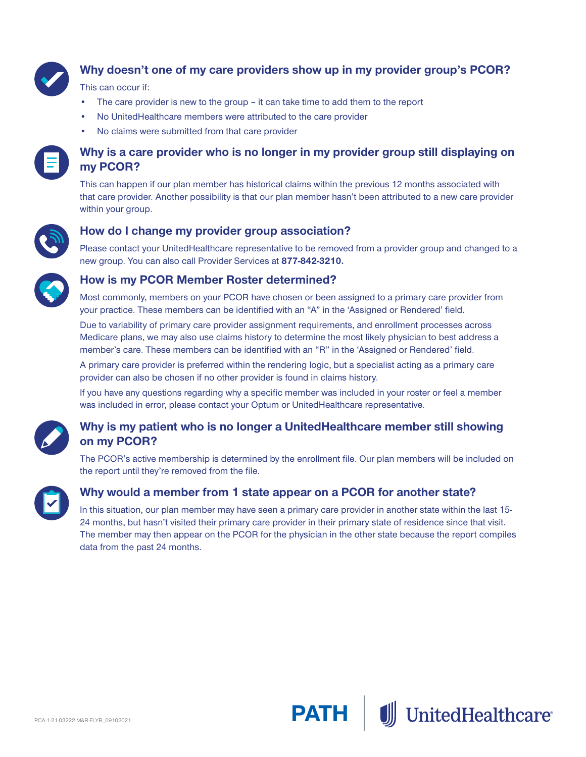

### **Why doesn't one of my care providers show up in my provider group's PCOR?**

#### This can occur if:

- The care provider is new to the group it can take time to add them to the report
- No UnitedHealthcare members were attributed to the care provider
- No claims were submitted from that care provider



#### **Why is a care provider who is no longer in my provider group still displaying on my PCOR?**

This can happen if our plan member has historical claims within the previous 12 months associated with that care provider. Another possibility is that our plan member hasn't been attributed to a new care provider within your group.



#### **How do I change my provider group association?**

Please contact your UnitedHealthcare representative to be removed from a provider group and changed to a new group. You can also call Provider Services at **877-842-3210.**



#### **How is my PCOR Member Roster determined?**

Most commonly, members on your PCOR have chosen or been assigned to a primary care provider from your practice. These members can be identified with an "A" in the 'Assigned or Rendered' field.

Due to variability of primary care provider assignment requirements, and enrollment processes across Medicare plans, we may also use claims history to determine the most likely physician to best address a member's care. These members can be identified with an "R" in the 'Assigned or Rendered' field.

A primary care provider is preferred within the rendering logic, but a specialist acting as a primary care provider can also be chosen if no other provider is found in claims history.

If you have any questions regarding why a specific member was included in your roster or feel a member was included in error, please contact your Optum or UnitedHealthcare representative.



#### **Why is my patient who is no longer a UnitedHealthcare member still showing on my PCOR?**

The PCOR's active membership is determined by the enrollment file. Our plan members will be included on the report until they're removed from the file.



#### **Why would a member from 1 state appear on a PCOR for another state?**

In this situation, our plan member may have seen a primary care provider in another state within the last 15- 24 months, but hasn't visited their primary care provider in their primary state of residence since that visit. The member may then appear on the PCOR for the physician in the other state because the report compiles data from the past 24 months.